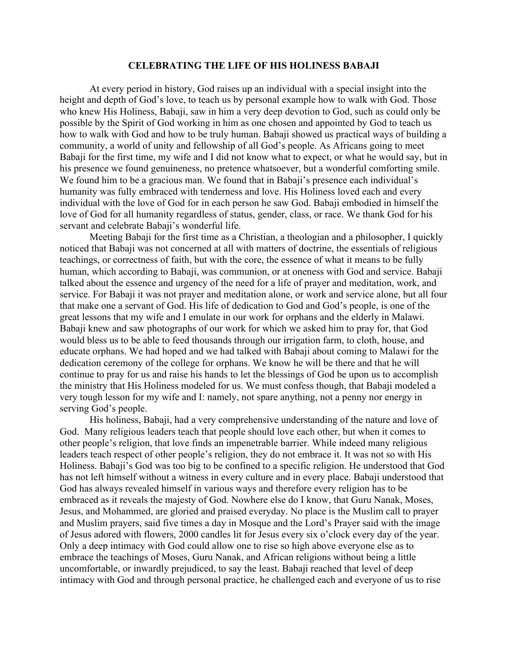## **CELEBRATING THE LIFE OF HIS HOLINESS BABAJI**

At every period in history, God raises up an individual with a special insight into the height and depth of God's love, to teach us by personal example how to walk with God. Those who knew His Holiness, Babaji, saw in him a very deep devotion to God, such as could only be possible by the Spirit of God working in him as one chosen and appointed by God to teach us how to walk with God and how to be truly human. Babaji showed us practical ways of building a community, a world of unity and fellowship of all God's people. As Africans going to meet Babaji for the first time, my wife and I did not know what to expect, or what he would say, but in his presence we found genuineness, no pretence whatsoever, but a wonderful comforting smile. We found him to be a gracious man. We found that in Babaji's presence each individual's humanity was fully embraced with tenderness and love. His Holiness loved each and every individual with the love of God for in each person he saw God. Babaji embodied in himself the love of God for all humanity regardless of status, gender, class, or race. We thank God for his servant and celebrate Babaji's wonderful life.

Meeting Babaji for the first time as a Christian, a theologian and a philosopher, I quickly noticed that Babaji was not concerned at all with matters of doctrine, the essentials of religious teachings, or correctness of faith, but with the core, the essence of what it means to be fully human, which according to Babaji, was communion, or at oneness with God and service. Babaji talked about the essence and urgency of the need for a life of prayer and meditation, work, and service. For Babaji it was not prayer and meditation alone, or work and service alone, but all four that make one a servant of God. His life of dedication to God and God's people, is one of the great lessons that my wife and I emulate in our work for orphans and the elderly in Malawi. Babaji knew and saw photographs of our work for which we asked him to pray for, that God would bless us to be able to feed thousands through our irrigation farm, to cloth, house, and educate orphans. We had hoped and we had talked with Babaji about coming to Malawi for the dedication ceremony of the college for orphans. We know he will be there and that he will continue to pray for us and raise his hands to let the blessings of God be upon us to accomplish the ministry that His Holiness modeled for us. We must confess though, that Babaji modeled a very tough lesson for my wife and I: namely, not spare anything, not a penny nor energy in serving God's people.

His holiness, Babaji, had a very comprehensive understanding of the nature and love of God. Many religious leaders teach that people should love each other, but when it comes to other people's religion, that love finds an impenetrable barrier. While indeed many religious leaders teach respect of other people's religion, they do not embrace it. It was not so with His Holiness. Babaji's God was too big to be confined to a specific religion. He understood that God has not left himself without a witness in every culture and in every place. Babaji understood that God has always revealed himself in various ways and therefore every religion has to be embraced as it reveals the majesty of God. Nowhere else do I know, that Guru Nanak, Moses, Jesus, and Mohammed, are gloried and praised everyday. No place is the Muslim call to prayer and Muslim prayers, said five times a day in Mosque and the Lord's Prayer said with the image of Jesus adored with flowers, 2000 candles lit for Jesus every six o'clock every day of the year. Only a deep intimacy with God could allow one to rise so high above everyone else as to embrace the teachings of Moses, Guru Nanak, and African religions without being a little uncomfortable, or inwardly prejudiced, to say the least. Babaji reached that level of deep intimacy with God and through personal practice, he challenged each and everyone of us to rise